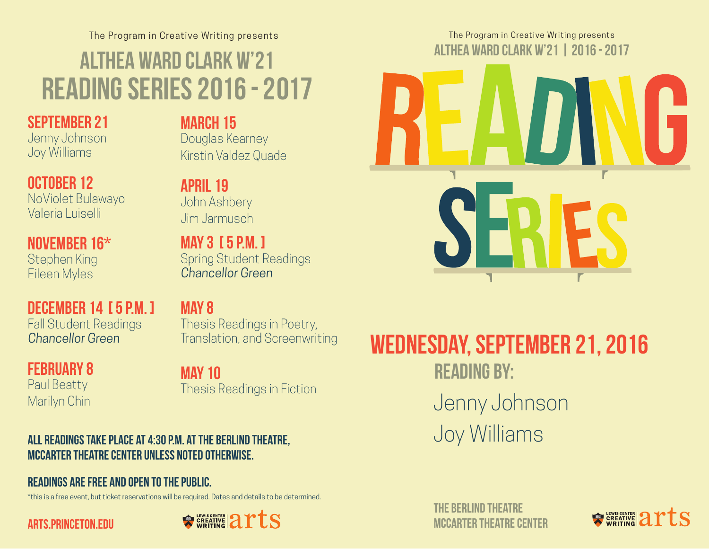The Program in Creative Writing presents Althea Ward Clark W'21 reading series 2016 - 2017

### September 21

Jenny Johnson Joy Williams

### October 12

NoViolet Bulawayo Valeria Luiselli

November 16\* Stephen King Eileen Myles

### DECEMBER 14 [ 5 P.M. ]

Fall Student Readings Chancellor Green

#### February 8 Paul Beatty

Marilyn Chin

### MARCH 15

Douglas Kearney Kirstin Valdez Quade

April 19 John Ashbery Jim Jarmusch

May 3 [ 5 p.m. ] Spring Student Readings Chancellor Green

May 8 Thesis Readings in Poetry, Translation, and Screenwriting

## May 10

Thesis Readings in Fiction

#### All readings take place at 4:30 p.m. at the Berlind Theatre, McCarter Theatre Center unless noted otherwise.

#### Readings are free and open to the public.

\*this is a free event, but ticket reservations will be required. Dates and details to be determined.





The Program in Creative Writing presents Althea Ward Clark W'21 | 2016 - 2017



# wednesday, september 21, 2016 **READING BY:** Jenny Johnson Joy Williams

THE BERLIND THEATRE mccarter theatre center